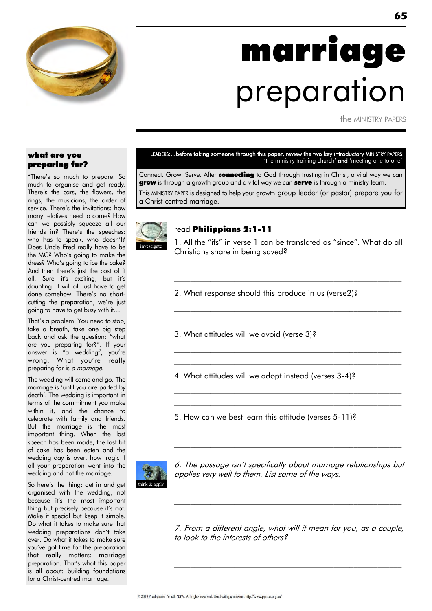

# marriage preparation

the MINISTRY PAPERS

### what are you preparing for?

"There"s so much to prepare. So much to organise and get ready. There"s the cars, the flowers, the rings, the musicians, the order of service. There"s the invitations: how many relatives need to come? How can we possibly squeeze all our friends in? There's the speeches: who has to speak, who doesn't? Does Uncle Fred really have to be the MC? Who"s going to make the dress? Who"s going to ice the cake? And then there"s just the cost of it all. Sure it's exciting, but it's daunting. It will all just have to get done somehow. There"s no shortcutting the preparation, we're just going to have to get busy with it…

That"s a problem. You need to stop, take a breath, take one big step back and ask the question: "what are you preparing for?". If your answer is "a wedding", you"re wrong. What you're really preparing for is a marriage.

The wedding will come and go. The marriage is "until you are parted by death". The wedding is important in terms of the commitment you make within it, and the chance to celebrate with family and friends. But the marriage is the most important thing. When the last speech has been made, the last bit of cake has been eaten and the wedding day is over, how tragic if all your preparation went into the wedding and not the marriage.

So here's the thing: get in and get organised with the wedding, not because it's the most important thing but precisely because it's not. Make it special but keep it simple. Do what it takes to make sure that wedding preparations don't take over. Do what it takes to make sure you"ve got time for the preparation that really matters: marriage preparation. That"s what this paper is all about: building foundations for a Christ-centred marriage.

LEADERS:...before taking someone through this paper, review the two key introductory MINISTRY PAPERS: 'the ministry training church' and 'meeting one to one'.

Connect. Grow. Serve. After connecting to God through trusting in Christ, a vital way we can **grow** is through a growth group and a vital way we can **serve** is through a ministry team. This MINISTRY PAPER is designed to help your growth group leader (or pastor) prepare you for a Christ-centred marriage.



#### read Philippians 2:1-11

1. All the "ifs" in verse 1 can be translated as "since". What do all Christians share in being saved?

 $\mathcal{L}_\text{max}$  and the contract of the contract of the contract of the contract of the contract of the contract of  $\mathcal{L}_\text{max}$  and the contract of the contract of the contract of the contract of the contract of the contract of

 $\mathcal{L}_\text{max}$  and the contract of the contract of the contract of the contract of the contract of the contract of  $\mathcal{L}_\text{max}$  and the contract of the contract of the contract of the contract of the contract of the contract of

 $\mathcal{L}_\text{max}$  and the contract of the contract of the contract of the contract of the contract of the contract of  $\mathcal{L}_\text{max}$  and the contract of the contract of the contract of the contract of the contract of the contract of

 $\mathcal{L}_\text{max}$  and the contract of the contract of the contract of the contract of the contract of the contract of  $\mathcal{L}_\text{max}$  and the contract of the contract of the contract of the contract of the contract of the contract of

 $\mathcal{L}_\text{max}$  and the contract of the contract of the contract of the contract of the contract of the contract of \_\_\_\_\_\_\_\_\_\_\_\_\_\_\_\_\_\_\_\_\_\_\_\_\_\_\_\_\_\_\_\_\_\_\_\_\_\_\_\_\_\_\_\_\_\_\_\_\_\_\_\_\_\_\_\_\_

- 2. What response should this produce in us (verse2)?
- 3. What attitudes will we avoid (verse 3)?

4. What attitudes will we adopt instead (verses 3-4)?

5. How can we best learn this attitude (verses 5-11)?



6. The passage isn"t specifically about marriage relationships but applies very well to them. List some of the ways.

 $\mathcal{L}_\text{max}$  and the contract of the contract of the contract of the contract of the contract of the contract of  $\mathcal{L}_\text{max}$  and the contract of the contract of the contract of the contract of the contract of the contract of  $\mathcal{L}_\text{max}$  and the contract of the contract of the contract of the contract of the contract of the contract of

7. From a different angle, what will it mean for you, as a couple, to look to the interests of others?

\_\_\_\_\_\_\_\_\_\_\_\_\_\_\_\_\_\_\_\_\_\_\_\_\_\_\_\_\_\_\_\_\_\_\_\_\_\_\_\_\_\_\_\_\_\_\_\_\_\_\_\_\_\_\_\_\_ \_\_\_\_\_\_\_\_\_\_\_\_\_\_\_\_\_\_\_\_\_\_\_\_\_\_\_\_\_\_\_\_\_\_\_\_\_\_\_\_\_\_\_\_\_\_\_\_\_\_\_\_\_\_\_\_\_ \_\_\_\_\_\_\_\_\_\_\_\_\_\_\_\_\_\_\_\_\_\_\_\_\_\_\_\_\_\_\_\_\_\_\_\_\_\_\_\_\_\_\_\_\_\_\_\_\_\_\_\_\_\_\_\_\_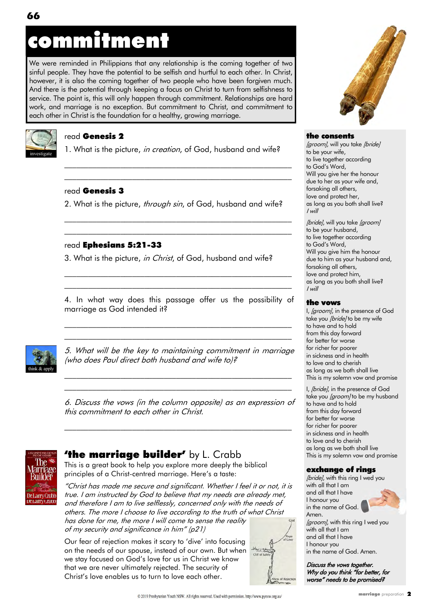# commitment

We were reminded in Philippians that any relationship is the coming together of two sinful people. They have the potential to be selfish and hurtful to each other. In Christ, however, it is also the coming together of two people who have been forgiven much. And there is the potential through keeping a focus on Christ to turn from selfishness to service. The point is, this will only happen through commitment. Relationships are hard work, and marriage is no exception. But commitment to Christ, and commitment to each other in Christ is the foundation for a healthy, growing marriage.



### read Genesis 2

1. What is the picture, in creation, of God, husband and wife?

\_\_\_\_\_\_\_\_\_\_\_\_\_\_\_\_\_\_\_\_\_\_\_\_\_\_\_\_\_\_\_\_\_\_\_\_\_\_\_\_\_\_\_\_\_\_\_\_\_\_\_\_\_\_\_\_\_ \_\_\_\_\_\_\_\_\_\_\_\_\_\_\_\_\_\_\_\_\_\_\_\_\_\_\_\_\_\_\_\_\_\_\_\_\_\_\_\_\_\_\_\_\_\_\_\_\_\_\_\_\_\_\_\_\_

### read Genesis 3

2. What is the picture, through sin, of God, husband and wife?

\_\_\_\_\_\_\_\_\_\_\_\_\_\_\_\_\_\_\_\_\_\_\_\_\_\_\_\_\_\_\_\_\_\_\_\_\_\_\_\_\_\_\_\_\_\_\_\_\_\_\_\_\_\_\_\_\_ \_\_\_\_\_\_\_\_\_\_\_\_\_\_\_\_\_\_\_\_\_\_\_\_\_\_\_\_\_\_\_\_\_\_\_\_\_\_\_\_\_\_\_\_\_\_\_\_\_\_\_\_\_\_\_\_\_

### read Ephesians 5:21-33

3. What is the picture, in Christ, of God, husband and wife?

4. In what way does this passage offer us the possibility of marriage as God intended it?

\_\_\_\_\_\_\_\_\_\_\_\_\_\_\_\_\_\_\_\_\_\_\_\_\_\_\_\_\_\_\_\_\_\_\_\_\_\_\_\_\_\_\_\_\_\_\_\_\_\_\_\_\_\_\_\_\_ \_\_\_\_\_\_\_\_\_\_\_\_\_\_\_\_\_\_\_\_\_\_\_\_\_\_\_\_\_\_\_\_\_\_\_\_\_\_\_\_\_\_\_\_\_\_\_\_\_\_\_\_\_\_\_\_\_

\_\_\_\_\_\_\_\_\_\_\_\_\_\_\_\_\_\_\_\_\_\_\_\_\_\_\_\_\_\_\_\_\_\_\_\_\_\_\_\_\_\_\_\_\_\_\_\_\_\_\_\_\_\_\_\_\_



5. What will be the key to maintaining commitment in marriage (who does Paul direct both husband and wife to)?

\_\_\_\_\_\_\_\_\_\_\_\_\_\_\_\_\_\_\_\_\_\_\_\_\_\_\_\_\_\_\_\_\_\_\_\_\_\_\_\_\_\_\_\_\_\_\_\_\_\_\_\_\_\_\_\_\_ \_\_\_\_\_\_\_\_\_\_\_\_\_\_\_\_\_\_\_\_\_\_\_\_\_\_\_\_\_\_\_\_\_\_\_\_\_\_\_\_\_\_\_\_\_\_\_\_\_\_\_\_\_\_\_\_\_

6. Discuss the vows (in the column opposite) as an expression of this commitment to each other in Christ.

 $\mathcal{L}_\text{max}$  and the contract of the contract of the contract of the contract of the contract of the contract of



# **'the marriage builder'** by L. Crabb

This is a great book to help you explore more deeply the biblical principles of a Christ-centred marriage. Here's a taste:

"Christ has made me secure and significant. Whether I feel it or not, it is true. I am instructed by God to believe that my needs are already met, and therefore I am to live selflessly, concerned only with the needs of others. The more I choose to live according to the truth of what Christ has done for me, the more I will come to sense the reality of my security and significance in him" (p21)

Our fear of rejection makes it scary to "dive" into focusing on the needs of our spouse, instead of our own. But when we stay focused on God's love for us in Christ we know that we are never ultimately rejected. The security of Christ"s love enables us to turn to love each other.





#### the consents

[groom], will you take [bride] to be your wife, to live together according to God"s Word, Will you give her the honour due to her as your wife and, forsaking all others, love and protect her, as long as you both shall live? I will

[bride], will you take [groom] to be your husband, to live together according to God"s Word, Will you give him the honour due to him as your husband and, forsaking all others, love and protect him, as long as you both shall live? I will

### the vows

I, [groom], in the presence of God take you [bride] to be my wife to have and to hold from this day forward for better for worse for richer for poorer in sickness and in health to love and to cherish as long as we both shall live This is my solemn vow and promise

I, *[bride]*, in the presence of God take you [groom] to be my husband to have and to hold from this day forward for better for worse for richer for poorer in sickness and in health to love and to cherish as long as we both shall live This is my solemn vow and promise

### exchange of rings

[bride], with this ring I wed you with all that I am and all that I have I honour you in the name of God Amen. [groom], with this ring I wed you with all that I am and all that I have I honour you in the name of God. Amen.

Discuss the vows together. Why do you think "for better, for worse" needs to be promised?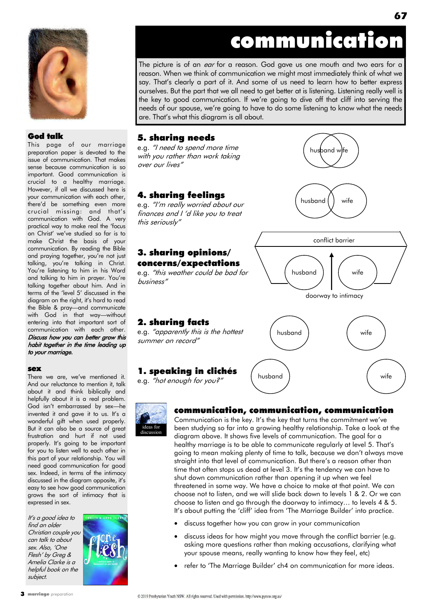

### God talk

This page of our marriage preparation paper is devoted to the issue of communication. That makes sense because communication is so important. Good communication is crucial to a healthy marriage. However, if all we discussed here is your communication with each other, there"d be something even more crucial missing: and that"s communication with God. A very practical way to make real the "focus on Christ" we"ve studied so far is to make Christ the basis of your communication. By reading the Bible and praying together, you"re not just talking, you"re talking in Christ. You're listening to him in his Word and talking to him in prayer. You"re talking together about him. And in terms of the 'level 5' discussed in the diagram on the right, it's hard to read the Bible & pray—and communicate with God in that way—without entering into that important sort of communication with each other. Discuss how you can better grow this habit together in the time leading up to your marriage.

#### sex

There we are, we've mentioned it. And our reluctance to mention it, talk about it and think biblically and helpfully about it is a real problem. God isn"t embarrassed by sex—he invented it and gave it to us. It's a wonderful gift when used properly. But it can also be a source of great frustration and hurt if not used properly. It's going to be important for you to listen well to each other in this part of your relationship. You will need good communication for good sex. Indeed, in terms of the intimacy discussed in the diagram opposite, it's easy to see how good communication grows the sort of intimacy that is expressed in sex.

It"s a good idea to find an older Christian couple you can talk to about sex. Also, "One Flesh" by Greg & Amelia Clarke is a helpful book on the subject.



# communication

husband | wife

husband  $\vert \vert$  wife

conflict barrier

doorway to intimacy

husband wife

husband ) and wife

husband ) wife

The picture is of an *ear* for a reason. God gave us one mouth and two ears for a reason. When we think of communication we might most immediately think of what we say. That"s clearly a part of it. And some of us need to learn how to better express ourselves. But the part that we all need to get better at is listening. Listening really well is the key to good communication. If we"re going to dive off that cliff into serving the needs of our spouse, we"re going to have to do some listening to know what the needs are. That"s what this diagram is all about.

### 5. sharing needs

e.g. "I need to spend more time with you rather than work taking over our lives"

### 4. sharing feelings

e.g. "I"m really worried about our finances and I "d like you to treat this seriously"

## 3. sharing opinions/ concerns/expectations

e.g. "this weather could be bad for business"

# 2. sharing facts

e.g. "apparently this is the hottest summer on record"

# 1. speaking in clichés

e.g. "hot enough for you?"



# communication, communication, communication

Communication is the key. It's the key that turns the commitment we've been studying so far into a growing healthy relationship. Take a look at the diagram above. It shows five levels of communication. The goal for a healthy marriage is to be able to communicate regularly at level 5. That"s going to mean making plenty of time to talk, because we don"t always move straight into that level of communication. But there's a reason other than time that often stops us dead at level 3. It's the tendency we can have to shut down communication rather than opening it up when we feel threatened in some way. We have a choice to make at that point. We can choose not to listen, and we will slide back down to levels 1 & 2. Or we can choose to listen and go through the doorway to intimacy… to levels 4 & 5. It's about putting the 'cliff' idea from 'The Marriage Builder' into practice.

- discuss together how you can grow in your communication
- discuss ideas for how might you move through the conflict barrier (e.g. asking more questions rather than making accusations, clarifying what your spouse means, really wanting to know how they feel, etc)
- refer to "The Marriage Builder" ch4 on communication for more ideas.